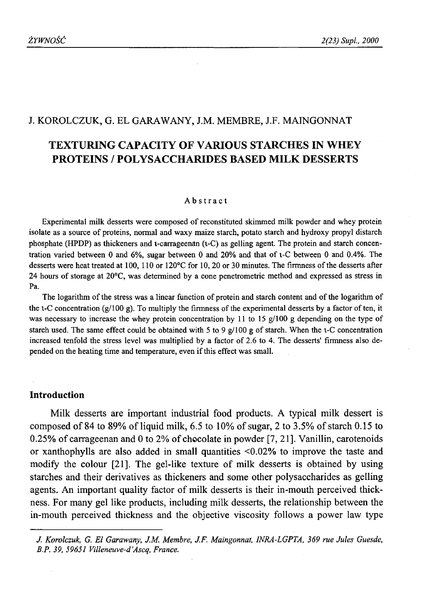## J. KOROLCZUK, G. EL GARAWANY, J.M. MEMBRE, J.F. MAINGONNAT

# **TEXTURING CAPACITY OF VARIOUS STARCHES IN WHEY PROTEINS / POLYSACCHARIDES BASED MILK DESSERTS**

#### Abstract

Experimental milk desserts were composed of reconstituted skimmed milk powder and whey protein isolate as a source of proteins, normal and waxy maize starch, potato starch and hydroxy propyl distarch phosphate (HPDP) as thickeners and i-carrageenan (i-C) as gelling agent. The protein and starch concentration varied between 0 and 6%, sugar between 0 and 20% and that of i-C between 0 and 0.4%. The desserts were heat treated at 100, 110 or 120°C for 10, 20 or 30 minutes. The firmness of the desserts after 24 hours of storage at 20°C, was determined by a cone penetrometric method and expressed as stress in Pa.

The logarithm of the stress was a linear function of protein and starch content and of the logarithm of the  $i$ -C concentration (g/100 g). To multiply the firmness of the experimental desserts by a factor of ten, it was necessary to increase the whey protein concentration by 11 to 15 g/100 g depending on the type of starch used. The same effect could be obtained with 5 to 9  $g/100 g$  of starch. When the  $1-C$  concentration increased tenfold the stress level was multiplied by a factor of 2.6 to 4. The desserts' firmness also depended on the heating time and temperature, even if this effect was small.

## **Introduction**

Milk desserts are important industrial food products. A typical milk dessert is composed of 84 to 89% of liquid milk, 6.5 to 10% of sugar, 2 to 3.5% of starch 0.15 to 0.25% of carrageenan and 0 to 2% of chocolate in powder [7, 21]. Vanillin, carotenoids or xanthophylls are also added in small quantities <0.02% to improve the taste and modify the colour [21]. The gel-like texture of milk desserts is obtained by using starches and their derivatives as thickeners and some other polysaccharides as gelling agents. An important quality factor of milk desserts is their in-mouth perceived thickness. For many gel like products, including milk desserts, the relationship between the in-mouth perceived thickness and the objective viscosity follows a power law type

*J. Korolczuk, G. El Garawany, J.M. Membre, J.F. Maingonnat, INRA-LGPTA, 369 rue Jules Guesde, B.P. 39, 59651 Villeneuve-d'Ascq, France.*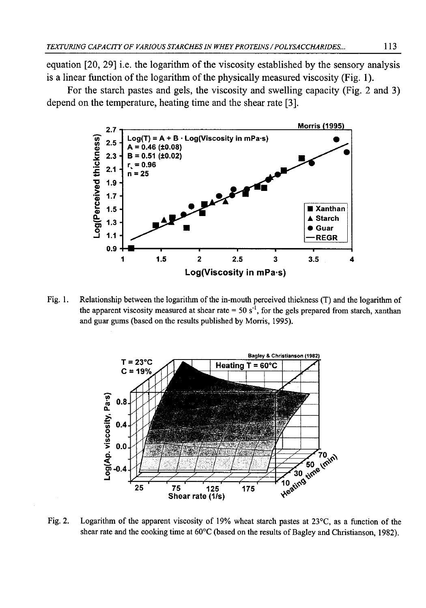equation [20, 29] i.e. the logarithm of the viscosity established by the sensory analysis is a linear function of the logarithm of the physically measured viscosity (Fig. 1).

For the starch pastes and gels, the viscosity and swelling capacity (Fig. 2 and 3) depend on the temperature, heating time and the shear rate [3].



Fig. 1. Relationship between the logarithm of the in-mouth perceived thickness (T) and the logarithm of the apparent viscosity measured at shear rate =  $50 \text{ s}^{-1}$ , for the gels prepared from starch, xanthan and guar gums (based on the results published by Morris, 1995).



Fig. 2. Logarithm of the apparent viscosity of 19% wheat starch pastes at 23°C, as a function of the shear rate and the cooking time at 60°C (based on the results of Bagley and Christianson, 1982).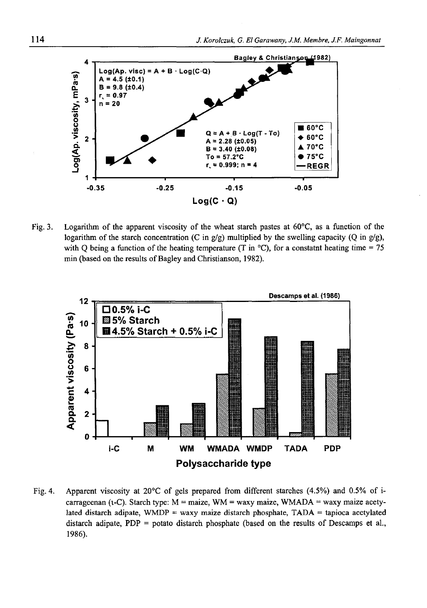

Fig. 3. Logarithm of the apparent viscosity of the wheat starch pastes at 60°C, as a function of the logarithm of the starch concentration (C in  $g/g$ ) multiplied by the swelling capacity (O in  $g/g$ ), with Q being a function of the heating temperature (T in  $^{\circ}$ C), for a constatnt heating time = 75 min (based on the results of Bagley and Christianson, 1982).



Fig. 4. Apparent viscosity at 20°C of gels prepared from different starches (4.5%) and 0.5% of icarrageenan (i-C). Starch type:  $M = \text{maize}$ , WM = waxy maize, WMADA = waxy maize acetylated distarch adipate, WMDP = waxy maize distarch phosphate,  $TADA =$  tapioca acetylated distarch adipate, PDP = potato distarch phosphate (based on the results of Descamps et al., 1986).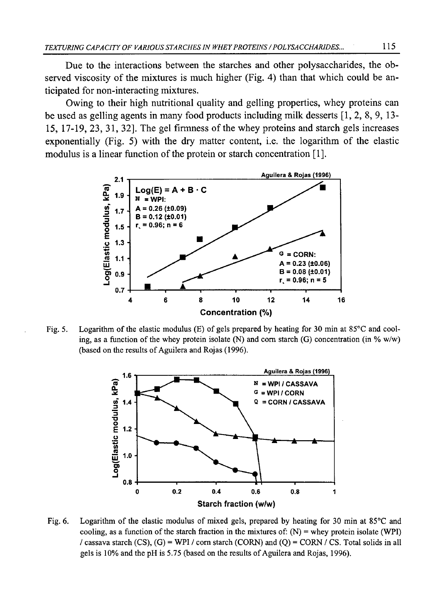Due to the interactions between the starches and other polysaccharides, the observed viscosity of the mixtures is much higher (Fig. 4) than that which could be anticipated for non-interacting mixtures.

Owing to their high nutritional quality and gelling properties, whey proteins can be used as gelling agents in many food products including milk desserts [1, 2, 8, 9, 13- 15, 17-19, 23, 31, 32]. The gel firmness of the whey proteins and starch gels increases exponentially (Fig. 5) with the dry matter content, i.e. the logarithm of the elastic modulus is a linear function of the protein or starch concentration [1].



Fig. 5. Logarithm of the elastic modulus (E) of gels prepared by heating for 30 min at 85°C and cooling, as a function of the whey protein isolate (N) and corn starch (G) concentration (in % w/w) (based on the results of Aguilera and Rojas (1996).



Fig. 6. Logarithm of the elastic modulus of mixed gels, prepared by heating for 30 min at 85°C and cooling, as a function of the starch fraction in the mixtures of:  $(N)$  = whey protein isolate (WPI) / cassava starch (CS),  $(G)$  = WPI / corn starch (CORN) and (Q) = CORN / CS. Total solids in all gels is 10% and the pH is 5.75 (based on the results of Aguilera and Rojas, 1996).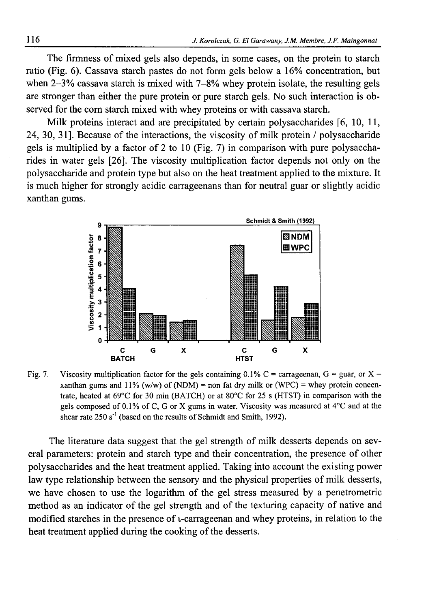The firmness of mixed gels also depends, in some cases, on the protein to starch ratio (Fig. 6). Cassava starch pastes do not form gels below a 16% concentration, but when 2-3% cassava starch is mixed with 7-8% whey protein isolate, the resulting gels are stronger than either the pure protein or pure starch gels. No such interaction is observed for the com starch mixed with whey proteins or with cassava starch.

Milk proteins interact and are precipitated by certain polysaccharides [6, 10, 11, 24, 30, 31]. Because of the interactions, the viscosity of milk protein / polysaccharide gels is multiplied by a factor of 2 to 10 (Fig. 7) in comparison with pure polysaccharides in water gels [26]. The viscosity multiplication factor depends not only on the polysaccharide and protein type but also on the heat treatment applied to the mixture. It is much higher for strongly acidic carrageenans than for neutral guar or slightly acidic xanthan gums.



Fig. 7. Viscosity multiplication factor for the gels containing 0.1% C = carrageenan, G = guar, or X = xanthan gums and  $11\%$  (w/w) of (NDM) = non fat dry milk or (WPC) = whey protein concentrate, heated at 69°C for 30 min (BATCH) or at 80°C for 25 s (HTST) in comparison with the gels composed of 0.1% of C, G or X gums in water. Viscosity was measured at 4°C and at the shear rate  $250 s<sup>-1</sup>$  (based on the results of Schmidt and Smith, 1992).

The literature data suggest that the gel strength of milk desserts depends on several parameters: protein and starch type and their concentration, the presence of other polysaccharides and the heat treatment applied. Taking into account the existing power law type relationship between the sensory and the physical properties of milk desserts, we have chosen to use the logarithm of the gel stress measured by a penetrometric method as an indicator of the gel strength and of the texturing capacity of native and modified starches in the presence of i-carrageenan and whey proteins, in relation to the heat treatment applied during the cooking of the desserts.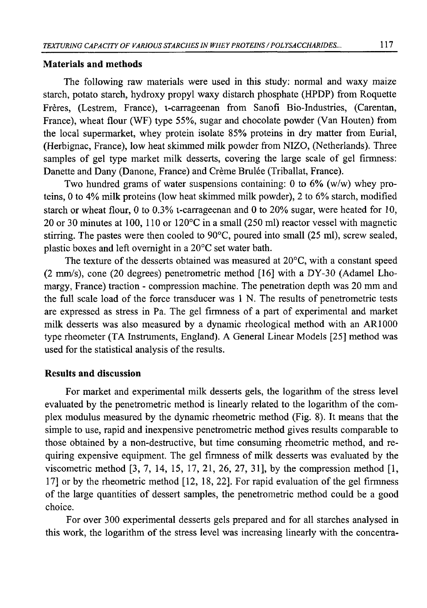#### **Materials and methods**

The following raw materials were used in this study: normal and waxy maize starch, potato starch, hydroxy propyl waxy distarch phosphate (HPDP) from Roquette Freres, (Lestrem, France), i-carrageenan from Sanofi Bio-Industries, (Carentan, France), wheat flour (WF) type 55%, sugar and chocolate powder (Van Houten) from the local supermarket, whey protein isolate 85% proteins in dry matter from Eurial, (Herbignac, France), low heat skimmed milk powder from NIZO, (Netherlands). Three samples of gel type market milk desserts, covering the large scale of gel firmness: Danette and Dany (Danone, France) and Crème Brulée (Triballat, France).

Two hundred grams of water suspensions containing: 0 to  $6\%$  (w/w) whey proteins, 0 to 4% milk proteins (low heat skimmed milk powder), 2 to 6% starch, modified starch or wheat flour, 0 to 0.3% i-carrageenan and 0 to 20% sugar, were heated for 10, 20 or 30 minutes at 100, 110 or 120°C in a small (250 ml) reactor vessel with magnetic stirring. The pastes were then cooled to 90°C, poured into small (25 ml), screw sealed, plastic boxes and left overnight in a 20°C set water bath.

The texture of the desserts obtained was measured at 20°C, with a constant speed (2 mm/s), cone (20 degrees) penetrometric method [16] with a DY-30 (Adamel Lhomargy, France) traction - compression machine. The penetration depth was 20 mm and the full scale load of the force transducer was 1 N. The results of penetrometric tests are expressed as stress in Pa. The gel firmness of a part of experimental and market milk desserts was also measured by a dynamic rheological method with an AR1000 type rheometer (TA Instruments, England). A General Linear Models [25] method was used for the statistical analysis of the results.

#### **Results and discussion**

For market and experimental milk desserts gels, the logarithm of the stress level evaluated by the penetrometric method is linearly related to the logarithm of the complex modulus measured by the dynamic rheometric method (Fig. 8). It means that the simple to use, rapid and inexpensive penetrometric method gives results comparable to those obtained by a non-destructive, but time consuming rheometric method, and requiring expensive equipment. The gel firmness of milk desserts was evaluated by the viscometric method [3, 7, 14, 15, 17, 21, 26, 27, 31], by the compression method [1, 17] or by the rheometric method [12, 18, 22]. For rapid evaluation of the gel firmness of the large quantities of dessert samples, the penetrometric method could be a good choice.

For over 300 experimental desserts gels prepared and for all starches analysed in this work, the logarithm of the stress level was increasing linearly with the concentra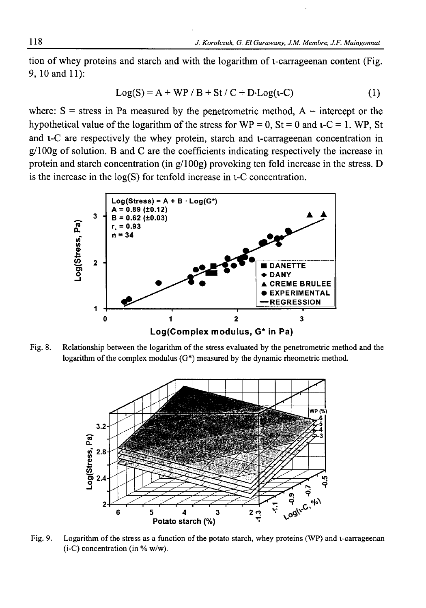tion of whey proteins and starch and with the logarithm of i-carrageenan content (Fig. 9, 10 and 11):

$$
Log(S) = A + WP / B + St / C + D \cdot Log(t-C)
$$
 (1)

where:  $S =$  stress in Pa measured by the penetrometric method,  $A =$  intercept or the hypothetical value of the logarithm of the stress for  $WP = 0$ ,  $St = 0$  and  $t-C = 1$ . WP, St and i-C are respectively the whey protein, starch and i-carrageenan concentration in  $g/100g$  of solution. B and C are the coefficients indicating respectively the increase in protein and starch concentration (in  $g/100g$ ) provoking ten fold increase in the stress. D is the increase in the  $log(S)$  for tenfold increase in  $i$ -C concentration.



Fig. 8. Relationship between the logarithm of the stress evaluated by the penetrometric method and the logarithm of the complex modulus (G\*) measured by the dynamic rheometric method.



Fig. 9. Logarithm of the stress as a function of the potato starch, whey proteins (WP) and i-carrageenan  $(i-C)$  concentration (in % w/w).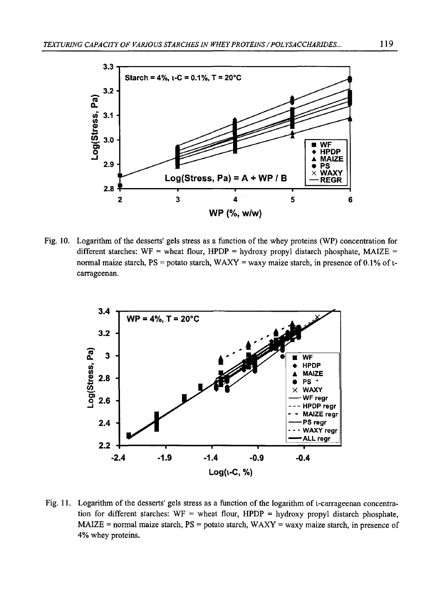

Fig. 10. Logarithm of the desserts' gels stress as a function of the whey proteins (WP) concentration for different starches: WF = wheat flour, HPDP = hydroxy propyl distarch phosphate, MAIZE = normal maize starch,  $PS =$  potato starch, WAXY = waxy maize starch, in presence of 0.1% of  $t$ carrageenan.



Fig. 11. Logarithm of the desserts' gels stress as a function of the logarithm of i-carrageenan concentration for different starches:  $WF =$  wheat flour, HPDP = hydroxy propyl distarch phosphate,  $MAIZE = normal$  maize starch,  $PS =$  potato starch,  $WAXY =$  waxy maize starch, in presence of 4% whey proteins.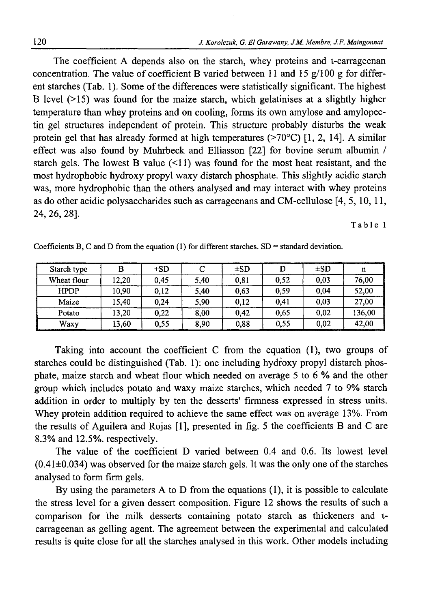The coefficient A depends also on the starch, whey proteins and i-carrageenan concentration. The value of coefficient B varied between 11 and 15  $g/100 g$  for different starches (Tab. 1). Some of the differences were statistically significant. The highest B level  $(>15)$  was found for the maize starch, which gelatinises at a slightly higher temperature than whey proteins and on cooling, forms its own amylose and amylopectin gel structures independent of protein. This structure probably disturbs the weak protein gel that has already formed at high temperatures  $(270^{\circ}C)$  [1, 2, 14]. A similar effect was also found by Muhrbeck and Elliasson [22] for bovine serum albumin / starch gels. The lowest B value  $(\leq 11)$  was found for the most heat resistant, and the most hydrophobic hydroxy propyl waxy distarch phosphate. This slightly acidic starch was, more hydrophobic than the others analysed and may interact with whey proteins as do other acidic polysaccharides such as carrageenans and CM-cellulose [4, 5, 10, 11, 24, 26, 28].

Table 1

| Starch type | в     | $\pm SD$ |      | $\pm SD$ |      | $\pm SD$ | n      |
|-------------|-------|----------|------|----------|------|----------|--------|
| Wheat flour | 12.20 | 0.45     | 5.40 | 0,81     | 0,52 | 0,03     | 76,00  |
| <b>HPDP</b> | 10.90 | 0,12     | 5.40 | 0.63     | 0.59 | 0.04     | 52,00  |
| Maize       | 15.40 | 0,24     | 5.90 | 0.12     | 0.41 | 0,03     | 27,00  |
| Potato      | 13.20 | 0,22     | 8.00 | 0.42     | 0.65 | 0,02     | 136,00 |
| Waxy        | 13,60 | 0.55     | 8,90 | 0,88     | 0,55 | 0,02     | 42.00  |

Coefficients B, C and D from the equation (1) for different starches.  $SD =$  standard deviation.

Taking into account the coefficient C from the equation (1), two groups of starches could be distinguished (Tab. 1): one including hydroxy propyl distarch phosphate, maize starch and wheat flour which needed on average 5 to 6 % and the other group which includes potato and waxy maize starches, which needed 7 to 9% starch addition in order to multiply by ten the desserts' firmness expressed in stress units. Whey protein addition required to achieve the same effect was on average 13%. From the results of Aguilera and Rojas [1], presented in fig. 5 the coefficients B and C are 8.3% and 12.5%. respectively.

The value of the coefficient D varied between 0.4 and 0.6. Its lowest level  $(0.41\pm0.034)$  was observed for the maize starch gels. It was the only one of the starches analysed to form firm gels.

By using the parameters A to D from the equations (1), it is possible to calculate the stress level for a given dessert composition. Figure 12 shows the results of such a comparison for the milk desserts containing potato starch as thickeners and icarrageenan as gelling agent. The agreement between the experimental and calculated results is quite close for all the starches analysed in this work. Other models including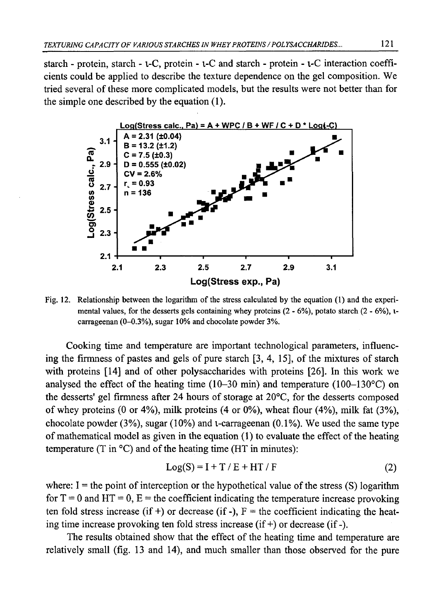starch - protein, starch - i-C, protein - i-C and starch - protein - i-C interaction coefficients could be applied to describe the texture dependence on the gel composition. We tried several of these more complicated models, but the results were not better than for the simple one described by the equation (1).



Fig. 12. Relationship between the logarithm of the stress calculated by the equation (1) and the experimental values, for the desserts gels containing whey proteins  $(2 - 6\%)$ , potato starch  $(2 - 6\%)$ , icarrageenan (0-0.3%), sugar 10% and chocolate powder 3%.

Cooking time and temperature are important technological parameters, influencing the firmness of pastes and gels of pure starch [3, 4, 15], of the mixtures of starch with proteins [14] and of other polysaccharides with proteins [26]. In this work we analysed the effect of the heating time  $(10-30 \text{ min})$  and temperature  $(100-130^{\circ}\text{C})$  on the desserts' gel firmness after 24 hours of storage at 20°C, for the desserts composed of whey proteins  $(0 \text{ or } 4\%)$ , milk proteins  $(4 \text{ or } 0\%)$ , wheat flour  $(4\%)$ , milk fat  $(3\%)$ , chocolate powder  $(3\%)$ , sugar  $(10\%)$  and *t*-carrageenan  $(0.1\%)$ . We used the same type of mathematical model as given in the equation (1) to evaluate the effect of the heating temperature (T in  $\rm{^{\circ}C}$ ) and of the heating time (HT in minutes):

$$
Log(S) = I + T / E + HT / F \tag{2}
$$

where:  $I =$  the point of interception or the hypothetical value of the stress (S) logarithm for  $T = 0$  and  $HT = 0$ ,  $E =$  the coefficient indicating the temperature increase provoking ten fold stress increase (if +) or decrease (if -),  $F =$  the coefficient indicating the heating time increase provoking ten fold stress increase (if +) or decrease (if -).

The results obtained show that the effect of the heating time and temperature are relatively small (fig. 13 and 14), and much smaller than those observed for the pure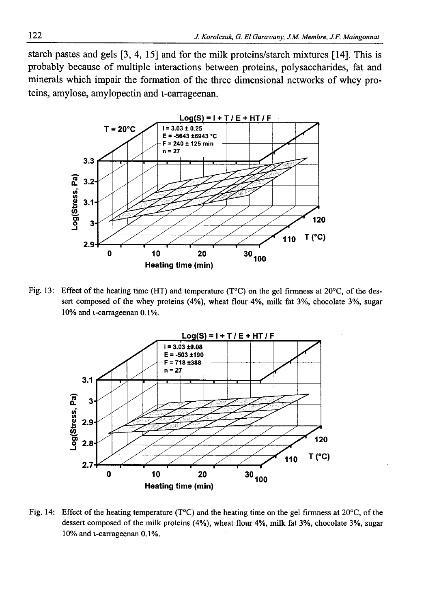starch pastes and gels [3, 4, 15] and for the milk proteins/starch mixtures [14]. This is probably because of multiple interactions between proteins, polysaccharides, fat and minerals which impair the formation of the three dimensional networks of whey proteins, amylose, amylopectin and i-carrageenan.



Fig. 13: Effect of the heating time (HT) and temperature (T°C) on the gel firmness at 20°C, of the dessert composed of the whey proteins (4%), wheat flour 4%, milk fat 3%, chocolate 3%, sugar 10% and i-carrageenan 0.1%.



Fig. 14: Effect of the heating temperature ( $T^{\circ}C$ ) and the heating time on the gel firmness at 20 $^{\circ}C$ , of the dessert composed of the milk proteins (4%), wheat flour 4%, milk fat 3%, chocolate 3%, sugar 10% and i-carrageenan 0.1%.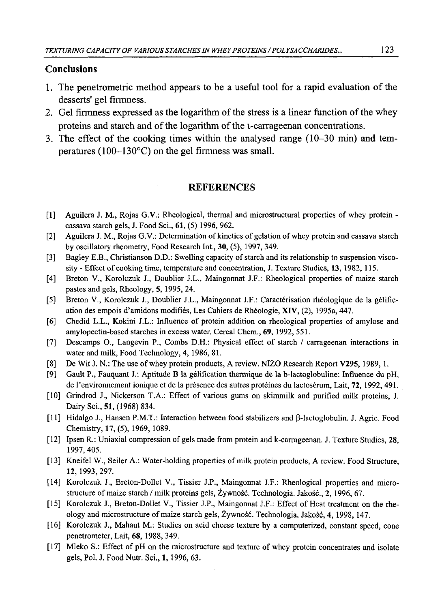#### **Conclusions**

- 1. The penetrometric method appears to be a useful tool for a rapid evaluation of the desserts' gel firmness.
- 2. Gel firmness expressed as the logarithm of the stress is a linear function of the whey proteins and starch and of the logarithm of the i-carrageenan concentrations.
- 3. The effect of the cooking times within the analysed range (10-30 min) and temperatures (100-130°C) on the gel firmness was small.

## **REFERENCES**

- [1] Aguilera J. M., Rojas G.V.: Rheological, thermal and microstructural properties of whey protein cassava starch gels, J. Food Sci., 61, (5) 1996, 962.
- [2] Aguilera J. M., Rojas G.V.: Determination of kinetics of gelation of whey protein and cassava starch by oscillatory rheometry, Food Research Int., 30, (5), 1997, 349.
- [3] Bagley E.B., Christianson D.D.: Swelling capacity of starch and its relationship to suspension viscosity - Effect of cooking time, temperature and concentration, J. Texture Studies, 13, 1982, 115.
- [4] Breton V., Korolczuk J., Doublier J.L., Maingonnat J.F.: Rheological properties of maize starch pastes and gels, Rheology, 5, 1995, 24.
- [5] Breton V., Korolczuk J., Doublier J.L., Maingonnat J.F.: Caracterisation rheologique de la gelification des empois d'amidons modifies, Les Cahiers de Rheologie, XIV, (2), 1995a, 447.
- [6] Chedid L.L., Kokini J.L.: Influence of protein addition on rheological properties of amylose and amylopectin-based starches in excess water, Cereal Chem., 69, 1992, 551.
- [7] Descamps O., Langevin P., Combs D.H.: Physical effect of starch / carrageenan interactions in water and milk, Food Technology, 4, 1986, 81.
- [8] De Wit J. N.: The use of whey protein products, A review. NIZO Research Report V295, 1989, 1.
- [9] Gault P., Fauquant J.: Aptitude B la gelification thermique de la b-lactoglobuline: Influence du pH, de l'environnement ionique et de la présence des autres protéines du lactosérum, Lait, 72, 1992, 491.
- [10] Grindrod J., Nickerson T.A.: Effect of various gums on skimmilk and purified milk proteins, J. Dairy Sci., 51, (1968) 834.
- [11] Hidalgo J., Hansen P.M.T.: Interaction between food stabilizers and  $\beta$ -lactoglobulin. J. Agric. Food Chemistry, 17, (5), 1969, 1089.
- [12] Ipsen R.: Uniaxial compression of gels made from protein and k-carrageenan. J. Texture Studies, 28, 1997, 405.
- [13] Kneifel W., Seiler A.: Water-holding properties of milk protein products, A review. Food Structure, 12, 1993, 297.
- [14] Korolczuk J., Breton-Dollet V., Tissier J.P., Maingonnat J.F.: Rheological properties and microstructure of maize starch / milk proteins gels, Żywność. Technologia. Jakość., 2,1996, 67.
- [15] Korolczuk J., Breton-Dollet V., Tissier J.P., Maingonnat J.F.: Effect of Heat treatment on the rheology and microstructure of maize starch gels, Żywność. Technologia. Jakość, 4, 1998, 147.
- [16] Korolczuk J., Mahaut M.: Studies on acid cheese texture by a computerized, constant speed, cone penetrometer, Lait, 68,1988, 349.
- [17] Mleko S.: Effect of pH on the microstructure and texture of whey protein concentrates and isolate gels, Pol. J. Food Nutr. Sci., 1, 1996, 63.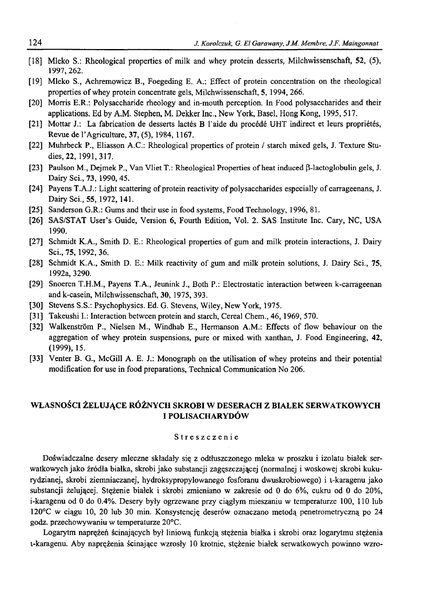- [18] Mleko S.: Rheological properties of milk and whey protein desserts, Milchwissenschaft, 52, (5), 1997,262.
- [19] Mleko S., Achremowicz B., Foegeding E. A.: Effect of protein concentration on the rheological properties of whey protein concentrate gels, Milchwissenschaft, 5, 1994, 266.
- [20] Morris E.R.: Polysaccharide rheology and in-mouth perception. In Food polysaccharides and their applications. Ed by A.M. Stephen, M. Dekker Inc., New York, Basel, Hong Kong, 1995, 517.
- [21] Mottar J.: La fabrication de desserts lactes B l'aide du procede UHT indirect et leurs proprietes, Revue de l'Agriculture, 37, (5), 1984, 1167.
- [22] Muhrbeck P., Eliasson A.C.: Rheological properties of protein / starch mixed gels, J. Texture Studies, 22, 1991, 317.
- [23] Paulson M., Dejmek P., Van Vliet T.: Rheological Properties of heat induced P-lactoglobulin gels, J. Dairy Sci., 73, 1990, 45.
- [24] Payens T.A.J.: Light scattering of protein reactivity of polysaccharides especially of carrageenans, J. Dairy Sci., 55, 1972, 141.
- [25] Sanderson G.R.: Gums and their use in food systems, Food Technology, 1996, 81.
- [26] SAS/STAT User's Guide, Version 6, Fourth Edition, Vol. 2. SAS Institute Inc. Cary, NC, USA 1990.
- [27] Schmidt K.A., Smith D. E.: Rheological properties of gum and milk protein interactions, J. Dairy Sci., 75, 1992, 36.
- [28] Schmidt K.A., Smith D. E.: Milk reactivity of gum and milk protein solutions, J. Dairy Sci., 75, 1992a, 3290.
- [29] Snoeren T.H.M., Payens T.A., Jeunink J., Both P.: Electrostatic interaction between k-carrageenan and k-casein, Milchwissenschaft, 30, 1975, 393.
- [30] Stevens S.S.: Psychophysics. Ed. G. Stevens, Wiley, New York, 1975.
- [31] Takeushi I.: Interaction between protein and starch, Cereal Chem., 46, 1969, 570.
- [32] Walkenström P., Nielsen M., Windhab E., Hermanson A.M.: Effects of flow behaviour on the aggregation of whey protein suspensions, pure or mixed with xanthan, J. Food Engineering, 42, (1999), 15.
- [33] Venter B. G., McGill A. E. J.: Monograph on the utilisation of whey proteins and their potential modification for use in food preparations, Technical Communication No 206.

#### **WŁASNOŚCI ŻELUJĄCE RÓŻNYCH SKROBI W DESERACH Z BIAŁEK SERWATKOWYCH I POLISACHARYDÓW**

#### Streszczenie

Doświadczalne desery mleczne składały się z odtłuszczonego mleka w proszku i izolatu białek serwatkowych jako źródła białka, skrobi jako substancji zagęszczającej (normalnej i woskowej skrobi kukurydzianej, skrobi ziemniaczanej, hydroksypropylowanego fosforanu dwuskrobiowego) i i-karagenu jako substancji żelującej. Stężenie białek i skrobi zmieniano w zakresie od 0 do 6%, cukru od 0 do 20%, i-karagenu od 0 do 0.4%. Desery były ogrzewane przy ciągłym mieszaniu w temperaturze 100, 110 lub 120°C w ciągu 10, 20 lub 30 min. Konsystencję deserów oznaczano metodą penetrometryczną po 24 godz. przechowywaniu w temperaturze 20°C.

Logarytm naprężeń ścinających był liniową funkcją stężenia białka i skrobi oraz logarytmu stężenia i-karagenu. Aby naprężenia ścinające wzrosły 10 krotnie, stężenie białek serwatkowych powinno wzro